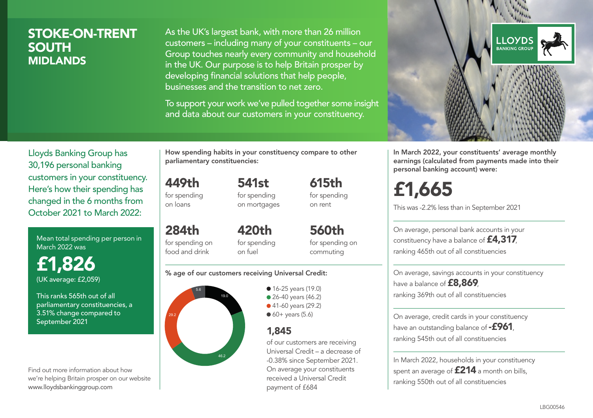### STOKE-ON-TRENT SOUTH MIDLANDS

As the UK's largest bank, with more than 26 million customers – including many of your constituents – our Group touches nearly every community and household in the UK. Our purpose is to help Britain prosper by developing financial solutions that help people, businesses and the transition to net zero.

To support your work we've pulled together some insight and data about our customers in your constituency.



Mean total spending per person in March 2022 was

£1,826 (UK average: £2,059)

This ranks 565th out of all parliamentary constituencies, a 3.51% change compared to September 2021

Find out more information about how we're helping Britain prosper on our website www.lloydsbankinggroup.com

How spending habits in your constituency compare to other parliamentary constituencies:

449th for spending 541st for spending on mortgages

on loans

284th for spending on food and drink 420th for spending on fuel

for spending on commuting

615th for spending on rent

560th

#### % age of our customers receiving Universal Credit:



• 16-25 years (19.0) • 26-40 years (46.2) ● 41-60 years (29.2)

 $60+$  years (5.6)

### 1,845

of our customers are receiving Universal Credit – a decrease of -0.38% since September 2021. On average your constituents received a Universal Credit payment of £684



In March 2022, your constituents' average monthly earnings (calculated from payments made into their personal banking account) were:

# £1,665

This was -2.2% less than in September 2021

On average, personal bank accounts in your constituency have a balance of £4,317, ranking 465th out of all constituencies

On average, savings accounts in your constituency have a balance of **£8,869**, ranking 369th out of all constituencies

On average, credit cards in your constituency have an outstanding balance of  $-$ £961, ranking 545th out of all constituencies

In March 2022, households in your constituency spent an average of **£214** a month on bills, ranking 550th out of all constituencies